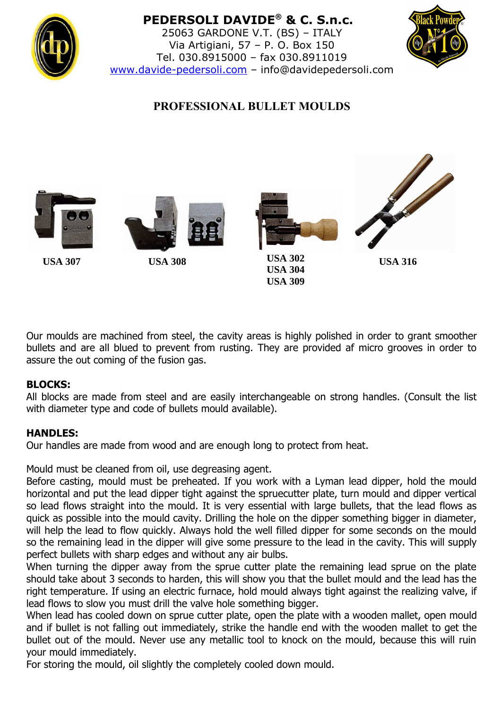

# **PEDERSOLI DAVIDE® & C. S.n.c.**

25063 GARDONE V.T. (BS) – ITALY Via Artigiani, 57 – P. O. Box 150 Tel. 030.8915000 – fax 030.8911019 [www.davide-pedersoli.com](http://www.davide-pedersoli.com/) – info@davidepedersoli.com



## **PROFESSIONAL BULLET MOULDS**







**USA 302 USA 304 USA 309 USA 307 USA 308 USA 316**



Our moulds are machined from steel, the cavity areas is highly polished in order to grant smoother bullets and are all blued to prevent from rusting. They are provided af micro grooves in order to assure the out coming of the fusion gas.

### **BLOCKS:**

All blocks are made from steel and are easily interchangeable on strong handles. (Consult the list with diameter type and code of bullets mould available).

### **HANDLES:**

Our handles are made from wood and are enough long to protect from heat.

Mould must be cleaned from oil, use degreasing agent.

Before casting, mould must be preheated. If you work with a Lyman lead dipper, hold the mould horizontal and put the lead dipper tight against the spruecutter plate, turn mould and dipper vertical so lead flows straight into the mould. It is very essential with large bullets, that the lead flows as quick as possible into the mould cavity. Drilling the hole on the dipper something bigger in diameter, will help the lead to flow quickly. Always hold the well filled dipper for some seconds on the mould so the remaining lead in the dipper will give some pressure to the lead in the cavity. This will supply perfect bullets with sharp edges and without any air bulbs.

When turning the dipper away from the sprue cutter plate the remaining lead sprue on the plate should take about 3 seconds to harden, this will show you that the bullet mould and the lead has the right temperature. If using an electric furnace, hold mould always tight against the realizing valve, if lead flows to slow you must drill the valve hole something bigger.

When lead has cooled down on sprue cutter plate, open the plate with a wooden mallet, open mould and if bullet is not falling out immediately, strike the handle end with the wooden mallet to get the bullet out of the mould. Never use any metallic tool to knock on the mould, because this will ruin your mould immediately.

For storing the mould, oil slightly the completely cooled down mould.